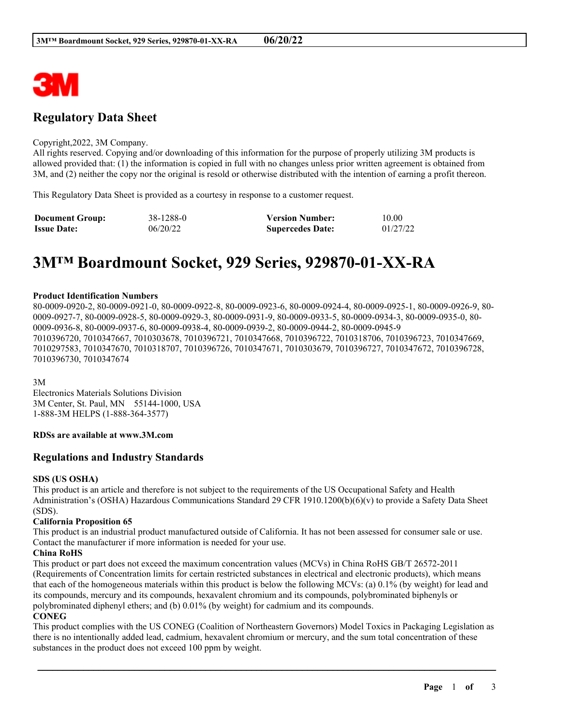

# **Regulatory Data Sheet**

#### Copyright,2022, 3M Company.

All rights reserved. Copying and/or downloading of this information for the purpose of properly utilizing 3M products is allowed provided that: (1) the information is copied in full with no changes unless prior written agreement is obtained from 3M, and (2) neither the copy nor the original is resold or otherwise distributed with the intention of earning a profit thereon.

This Regulatory Data Sheet is provided as a courtesy in response to a customer request.

| <b>Document Group:</b> | 38-1288-0 | <b>Version Number:</b>  | 10.00    |
|------------------------|-----------|-------------------------|----------|
| <b>Issue Date:</b>     | 06/20/22  | <b>Supercedes Date:</b> | 01/27/22 |

# **3M™ Boardmount Socket, 929 Series, 929870-01-XX-RA**

#### **Product Identification Numbers**

80-0009-0920-2, 80-0009-0921-0, 80-0009-0922-8, 80-0009-0923-6, 80-0009-0924-4, 80-0009-0925-1, 80-0009-0926-9, 80- 0009-0927-7, 80-0009-0928-5, 80-0009-0929-3, 80-0009-0931-9, 80-0009-0933-5, 80-0009-0934-3, 80-0009-0935-0, 80- 0009-0936-8, 80-0009-0937-6, 80-0009-0938-4, 80-0009-0939-2, 80-0009-0944-2, 80-0009-0945-9 7010396720, 7010347667, 7010303678, 7010396721, 7010347668, 7010396722, 7010318706, 7010396723, 7010347669, 7010297583, 7010347670, 7010318707, 7010396726, 7010347671, 7010303679, 7010396727, 7010347672, 7010396728, 7010396730, 7010347674

3M

Electronics Materials Solutions Division 3M Center, St. Paul, MN 55144-1000, USA 1-888-3M HELPS (1-888-364-3577)

#### **RDSs are available at www.3M.com**

## **Regulations and Industry Standards**

#### **SDS (US OSHA)**

This product is an article and therefore is not subject to the requirements of the US Occupational Safety and Health Administration's (OSHA) Hazardous Communications Standard 29 CFR 1910.1200(b)(6)(v) to provide a Safety Data Sheet (SDS).

#### **California Proposition 65**

This product is an industrial product manufactured outside of California. It has not been assessed for consumer sale or use. Contact the manufacturer if more information is needed for your use.

#### **China RoHS**

This product or part does not exceed the maximum concentration values (MCVs) in China RoHS GB/T 26572-2011 (Requirements of Concentration limits for certain restricted substances in electrical and electronic products), which means that each of the homogeneous materials within this product is below the following MCVs: (a) 0.1% (by weight) for lead and its compounds, mercury and its compounds, hexavalent chromium and its compounds, polybrominated biphenyls or polybrominated diphenyl ethers; and (b) 0.01% (by weight) for cadmium and its compounds.

#### **CONEG**

This product complies with the US CONEG (Coalition of Northeastern Governors) Model Toxics in Packaging Legislation as there is no intentionally added lead, cadmium, hexavalent chromium or mercury, and the sum total concentration of these substances in the product does not exceed 100 ppm by weight.

\_\_\_\_\_\_\_\_\_\_\_\_\_\_\_\_\_\_\_\_\_\_\_\_\_\_\_\_\_\_\_\_\_\_\_\_\_\_\_\_\_\_\_\_\_\_\_\_\_\_\_\_\_\_\_\_\_\_\_\_\_\_\_\_\_\_\_\_\_\_\_\_\_\_\_\_\_\_\_\_\_\_\_\_\_\_\_\_\_\_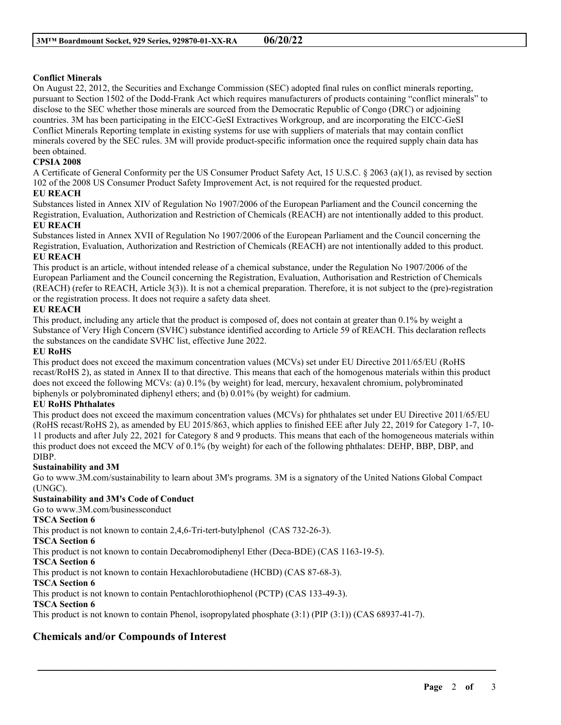# **Conflict Minerals**

On August 22, 2012, the Securities and Exchange Commission (SEC) adopted final rules on conflict minerals reporting, pursuant to Section 1502 of the Dodd-Frank Act which requires manufacturers of products containing "conflict minerals" to disclose to the SEC whether those minerals are sourced from the Democratic Republic of Congo (DRC) or adjoining countries. 3M has been participating in the EICC-GeSI Extractives Workgroup, and are incorporating the EICC-GeSI Conflict Minerals Reporting template in existing systems for use with suppliers of materials that may contain conflict minerals covered by the SEC rules. 3M will provide product-specific information once the required supply chain data has been obtained.

# **CPSIA 2008**

A Certificate of General Conformity per the US Consumer Product Safety Act, 15 U.S.C. § 2063 (a)(1), as revised by section 102 of the 2008 US Consumer Product Safety Improvement Act, is not required for the requested product.

## **EU REACH**

Substances listed in Annex XIV of Regulation No 1907/2006 of the European Parliament and the Council concerning the Registration, Evaluation, Authorization and Restriction of Chemicals (REACH) are not intentionally added to this product. **EU REACH**

Substances listed in Annex XVII of Regulation No 1907/2006 of the European Parliament and the Council concerning the Registration, Evaluation, Authorization and Restriction of Chemicals (REACH) are not intentionally added to this product. **EU REACH**

This product is an article, without intended release of a chemical substance, under the Regulation No 1907/2006 of the European Parliament and the Council concerning the Registration, Evaluation, Authorisation and Restriction of Chemicals (REACH) (refer to REACH, Article 3(3)). It is not a chemical preparation. Therefore, it is not subject to the (pre)-registration or the registration process. It does not require a safety data sheet.

# **EU REACH**

This product, including any article that the product is composed of, does not contain at greater than 0.1% by weight a Substance of Very High Concern (SVHC) substance identified according to Article 59 of REACH. This declaration reflects the substances on the candidate SVHC list, effective June 2022.

## **EU RoHS**

This product does not exceed the maximum concentration values (MCVs) set under EU Directive 2011/65/EU (RoHS recast/RoHS 2), as stated in Annex II to that directive. This means that each of the homogenous materials within this product does not exceed the following MCVs: (a) 0.1% (by weight) for lead, mercury, hexavalent chromium, polybrominated biphenyls or polybrominated diphenyl ethers; and (b) 0.01% (by weight) for cadmium.

## **EU RoHS Phthalates**

This product does not exceed the maximum concentration values (MCVs) for phthalates set under EU Directive 2011/65/EU (RoHS recast/RoHS 2), as amended by EU 2015/863, which applies to finished EEE after July 22, 2019 for Category 1-7, 10- 11 products and after July 22, 2021 for Category 8 and 9 products. This means that each of the homogeneous materials within this product does not exceed the MCV of 0.1% (by weight) for each of the following phthalates: DEHP, BBP, DBP, and DIBP.

## **Sustainability and 3M**

Go to www.3M.com/sustainability to learn about 3M's programs. 3M is a signatory of the United Nations Global Compact (UNGC).

\_\_\_\_\_\_\_\_\_\_\_\_\_\_\_\_\_\_\_\_\_\_\_\_\_\_\_\_\_\_\_\_\_\_\_\_\_\_\_\_\_\_\_\_\_\_\_\_\_\_\_\_\_\_\_\_\_\_\_\_\_\_\_\_\_\_\_\_\_\_\_\_\_\_\_\_\_\_\_\_\_\_\_\_\_\_\_\_\_\_

# **Sustainability and 3M's Code of Conduct**

Go to www.3M.com/businessconduct

## **TSCA Section 6**

This product is not known to contain 2,4,6-Tri-tert-butylphenol (CAS 732-26-3).

**TSCA Section 6**

This product is not known to contain Decabromodiphenyl Ether (Deca-BDE) (CAS 1163-19-5).

## **TSCA Section 6**

This product is not known to contain Hexachlorobutadiene (HCBD) (CAS 87-68-3).

**TSCA Section 6**

This product is not known to contain Pentachlorothiophenol (PCTP) (CAS 133-49-3).

## **TSCA Section 6**

This product is not known to contain Phenol, isopropylated phosphate (3:1) (PIP (3:1)) (CAS 68937-41-7).

# **Chemicals and/or Compounds of Interest**